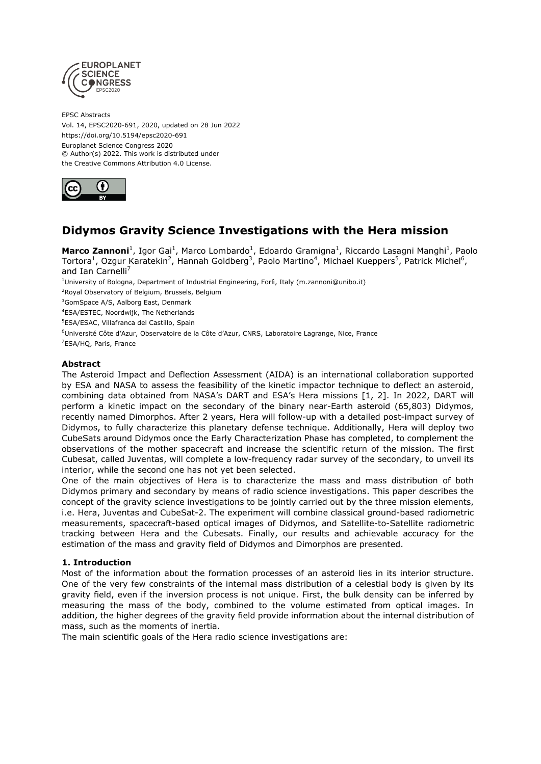

EPSC Abstracts Vol. 14, EPSC2020-691, 2020, updated on 28 Jun 2022 https://doi.org/10.5194/epsc2020-691 Europlanet Science Congress 2020 © Author(s) 2022. This work is distributed under the Creative Commons Attribution 4.0 License.



# **Didymos Gravity Science Investigations with the Hera mission**

**Marco Zannoni**<sup>1</sup>, Igor Gai<sup>1</sup>, Marco Lombardo<sup>1</sup>, Edoardo Gramigna<sup>1</sup>, Riccardo Lasagni Manghi<sup>1</sup>, Paolo Tortora<sup>1</sup>, Ozgur Karatekin<sup>2</sup>, Hannah Goldberg<sup>3</sup>, Paolo Martino<sup>4</sup>, Michael Kueppers<sup>5</sup>, Patrick Michel<sup>6</sup>, and Ian Carnelli $<sup>7</sup>$ </sup>

<sup>1</sup>University of Bologna, Department of Industrial Engineering, Forlì, Italy (m.zannoni@unibo.it)

<sup>2</sup>Royal Observatory of Belgium, Brussels, Belgium

<sup>3</sup>GomSpace A/S, Aalborg East, Denmark

<sup>4</sup>ESA/ESTEC, Noordwijk, The Netherlands

<sup>5</sup>ESA/ESAC, Villafranca del Castillo, Spain

<sup>6</sup>Université Côte d'Azur, Observatoire de la Côte d'Azur, CNRS, Laboratoire Lagrange, Nice, France <sup>7</sup>ESA/HQ, Paris, France

# **Abstract**

The Asteroid Impact and Deflection Assessment (AIDA) is an international collaboration supported by ESA and NASA to assess the feasibility of the kinetic impactor technique to deflect an asteroid, combining data obtained from NASA's DART and ESA's Hera missions [1, 2]. In 2022, DART will perform a kinetic impact on the secondary of the binary near-Earth asteroid (65,803) Didymos, recently named Dimorphos. After 2 years, Hera will follow-up with a detailed post-impact survey of Didymos, to fully characterize this planetary defense technique. Additionally, Hera will deploy two CubeSats around Didymos once the Early Characterization Phase has completed, to complement the observations of the mother spacecraft and increase the scientific return of the mission. The first Cubesat, called Juventas, will complete a low-frequency radar survey of the secondary, to unveil its interior, while the second one has not yet been selected.

One of the main objectives of Hera is to characterize the mass and mass distribution of both Didymos primary and secondary by means of radio science investigations. This paper describes the concept of the gravity science investigations to be jointly carried out by the three mission elements, i.e. Hera, Juventas and CubeSat-2. The experiment will combine classical ground-based radiometric measurements, spacecraft-based optical images of Didymos, and Satellite-to-Satellite radiometric tracking between Hera and the Cubesats. Finally, our results and achievable accuracy for the estimation of the mass and gravity field of Didymos and Dimorphos are presented.

## **1. Introduction**

Most of the information about the formation processes of an asteroid lies in its interior structure. One of the very few constraints of the internal mass distribution of a celestial body is given by its gravity field, even if the inversion process is not unique. First, the bulk density can be inferred by measuring the mass of the body, combined to the volume estimated from optical images. In addition, the higher degrees of the gravity field provide information about the internal distribution of mass, such as the moments of inertia.

The main scientific goals of the Hera radio science investigations are: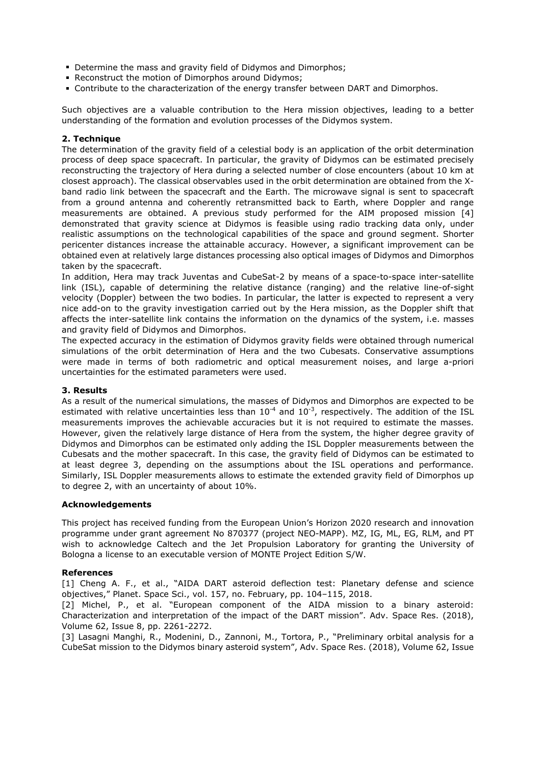- Determine the mass and gravity field of Didymos and Dimorphos;
- Reconstruct the motion of Dimorphos around Didymos;
- **Contribute to the characterization of the energy transfer between DART and Dimorphos.**

Such objectives are a valuable contribution to the Hera mission objectives, leading to a better understanding of the formation and evolution processes of the Didymos system.

## **2. Technique**

The determination of the gravity field of a celestial body is an application of the orbit determination process of deep space spacecraft. In particular, the gravity of Didymos can be estimated precisely reconstructing the trajectory of Hera during a selected number of close encounters (about 10 km at closest approach). The classical observables used in the orbit determination are obtained from the Xband radio link between the spacecraft and the Earth. The microwave signal is sent to spacecraft from a ground antenna and coherently retransmitted back to Earth, where Doppler and range measurements are obtained. A previous study performed for the AIM proposed mission [4] demonstrated that gravity science at Didymos is feasible using radio tracking data only, under realistic assumptions on the technological capabilities of the space and ground segment. Shorter pericenter distances increase the attainable accuracy. However, a significant improvement can be obtained even at relatively large distances processing also optical images of Didymos and Dimorphos taken by the spacecraft.

In addition, Hera may track Juventas and CubeSat-2 by means of a space-to-space inter-satellite link (ISL), capable of determining the relative distance (ranging) and the relative line-of-sight velocity (Doppler) between the two bodies. In particular, the latter is expected to represent a very nice add-on to the gravity investigation carried out by the Hera mission, as the Doppler shift that affects the inter-satellite link contains the information on the dynamics of the system, i.e. masses and gravity field of Didymos and Dimorphos.

The expected accuracy in the estimation of Didymos gravity fields were obtained through numerical simulations of the orbit determination of Hera and the two Cubesats. Conservative assumptions were made in terms of both radiometric and optical measurement noises, and large a-priori uncertainties for the estimated parameters were used.

#### **3. Results**

As a result of the numerical simulations, the masses of Didymos and Dimorphos are expected to be estimated with relative uncertainties less than  $10^{-4}$  and  $10^{-3}$ , respectively. The addition of the ISL measurements improves the achievable accuracies but it is not required to estimate the masses. However, given the relatively large distance of Hera from the system, the higher degree gravity of Didymos and Dimorphos can be estimated only adding the ISL Doppler measurements between the Cubesats and the mother spacecraft. In this case, the gravity field of Didymos can be estimated to at least degree 3, depending on the assumptions about the ISL operations and performance. Similarly, ISL Doppler measurements allows to estimate the extended gravity field of Dimorphos up to degree 2, with an uncertainty of about 10%.

#### **Acknowledgements**

This project has received funding from the European Union's Horizon 2020 research and innovation programme under grant agreement No 870377 (project NEO-MAPP). MZ, IG, ML, EG, RLM, and PT wish to acknowledge Caltech and the Jet Propulsion Laboratory for granting the University of Bologna a license to an executable version of MONTE Project Edition S/W.

## **References**

[1] Cheng A. F., et al., "AIDA DART asteroid deflection test: Planetary defense and science objectives," Planet. Space Sci., vol. 157, no. February, pp. 104–115, 2018.

[2] Michel, P., et al. "European component of the AIDA mission to a binary asteroid: Characterization and interpretation of the impact of the DART mission". Adv. Space Res. (2018), Volume 62, Issue 8, pp. 2261-2272.

[3] Lasagni Manghi, R., Modenini, D., Zannoni, M., Tortora, P., "Preliminary orbital analysis for a CubeSat mission to the Didymos binary asteroid system", Adv. Space Res. (2018), Volume 62, Issue